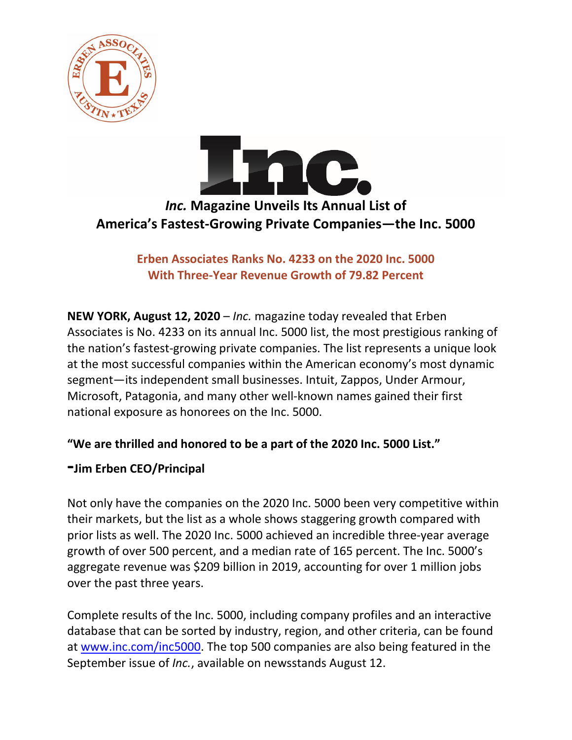



*Inc.* **Magazine Unveils Its Annual List of America's Fastest-Growing Private Companies—the Inc. 5000**

## **Erben Associates Ranks No. 4233 on the 2020 Inc. 5000 With Three-Year Revenue Growth of 79.82 Percent**

**NEW YORK, August 12, 2020** – *Inc.* magazine today revealed that Erben Associates is No. 4233 on its annual Inc. 5000 list, the most prestigious ranking of the nation's fastest-growing private companies. The list represents a unique look at the most successful companies within the American economy's most dynamic segment—its independent small businesses. Intuit, Zappos, Under Armour, Microsoft, Patagonia, and many other well-known names gained their first national exposure as honorees on the Inc. 5000.

## **"We are thrilled and honored to be a part of the 2020 Inc. 5000 List."**

## **-Jim Erben CEO/Principal**

Not only have the companies on the 2020 Inc. 5000 been very competitive within their markets, but the list as a whole shows staggering growth compared with prior lists as well. The 2020 Inc. 5000 achieved an incredible three-year average growth of over 500 percent, and a median rate of 165 percent. The Inc. 5000's aggregate revenue was \$209 billion in 2019, accounting for over 1 million jobs over the past three years.

Complete results of the Inc. 5000, including company profiles and an interactive database that can be sorted by industry, region, and other criteria, can be found at [www.inc.com/inc5000.](http://www.inc.com/inc5000) The top 500 companies are also being featured in the September issue of *Inc.*, available on newsstands August 12.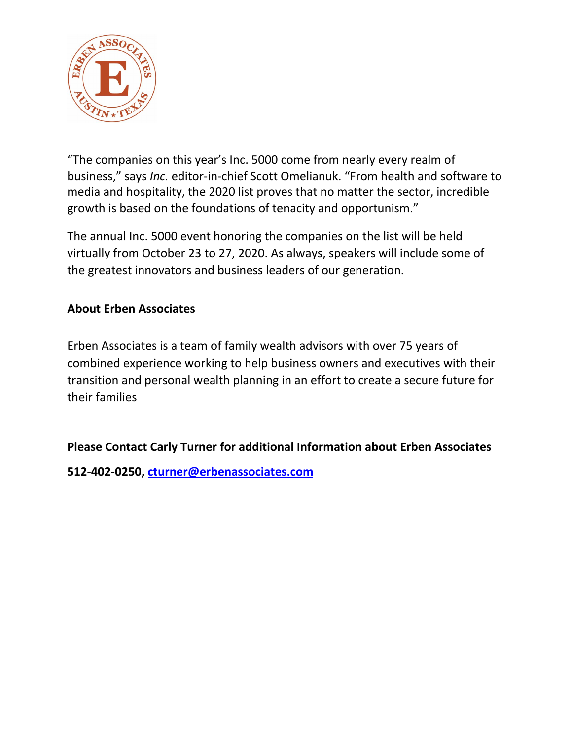

"The companies on this year's Inc. 5000 come from nearly every realm of business," says *Inc.* editor-in-chief Scott Omelianuk. "From health and software to media and hospitality, the 2020 list proves that no matter the sector, incredible growth is based on the foundations of tenacity and opportunism."

The annual Inc. 5000 event honoring the companies on the list will be held virtually from October 23 to 27, 2020. As always, speakers will include some of the greatest innovators and business leaders of our generation.

# **About Erben Associates**

Erben Associates is a team of family wealth advisors with over 75 years of combined experience working to help business owners and executives with their transition and personal wealth planning in an effort to create a secure future for their families

**Please Contact Carly Turner for additional Information about Erben Associates**

**512-402-0250, [cturner@erbenassociates.com](mailto:cturner@erbenassociates.com)**